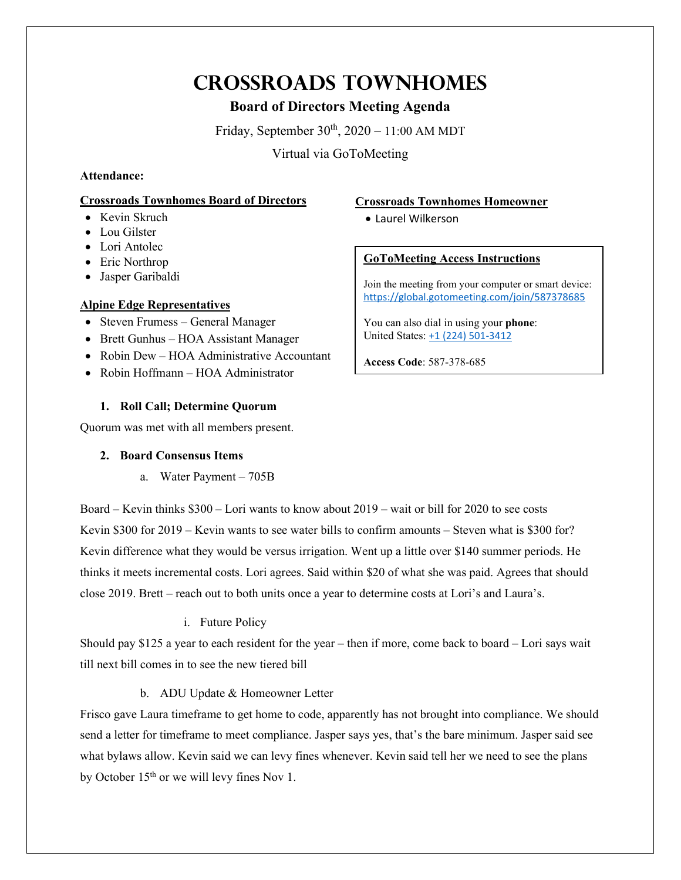# **Crossroads Townhomes**

## **Board of Directors Meeting Agenda**

Friday, September  $30<sup>th</sup>$ ,  $2020 - 11:00$  AM MDT

Virtual via GoToMeeting

## **Attendance:**

## **Crossroads Townhomes Board of Directors**

- Kevin Skruch
- Lou Gilster
- Lori Antolec
- Eric Northrop
- Jasper Garibaldi

## **Alpine Edge Representatives**

- Steven Frumess General Manager
- Brett Gunhus HOA Assistant Manager
- Robin Dew HOA Administrative Accountant
- Robin Hoffmann HOA Administrator

## **1. Roll Call; Determine Quorum**

Quorum was met with all members present.

## **2. Board Consensus Items**

a. Water Payment – 705B

Board – Kevin thinks \$300 – Lori wants to know about 2019 – wait or bill for 2020 to see costs Kevin \$300 for 2019 – Kevin wants to see water bills to confirm amounts – Steven what is \$300 for? Kevin difference what they would be versus irrigation. Went up a little over \$140 summer periods. He thinks it meets incremental costs. Lori agrees. Said within \$20 of what she was paid. Agrees that should close 2019. Brett – reach out to both units once a year to determine costs at Lori's and Laura's.

## i. Future Policy

Should pay \$125 a year to each resident for the year – then if more, come back to board – Lori says wait till next bill comes in to see the new tiered bill

## b. ADU Update & Homeowner Letter

Frisco gave Laura timeframe to get home to code, apparently has not brought into compliance. We should send a letter for timeframe to meet compliance. Jasper says yes, that's the bare minimum. Jasper said see what bylaws allow. Kevin said we can levy fines whenever. Kevin said tell her we need to see the plans by October 15<sup>th</sup> or we will levy fines Nov 1.

## **Crossroads Townhomes Homeowner**

• Laurel Wilkerson

## **GoToMeeting Access Instructions**

Join the meeting from your computer or smart device: <https://global.gotomeeting.com/join/587378685>

You can also dial in using your **phone**: United States: [+1 \(224\) 501-3412](tel:+12245013412,,587378685)

**Access Code**: 587-378-685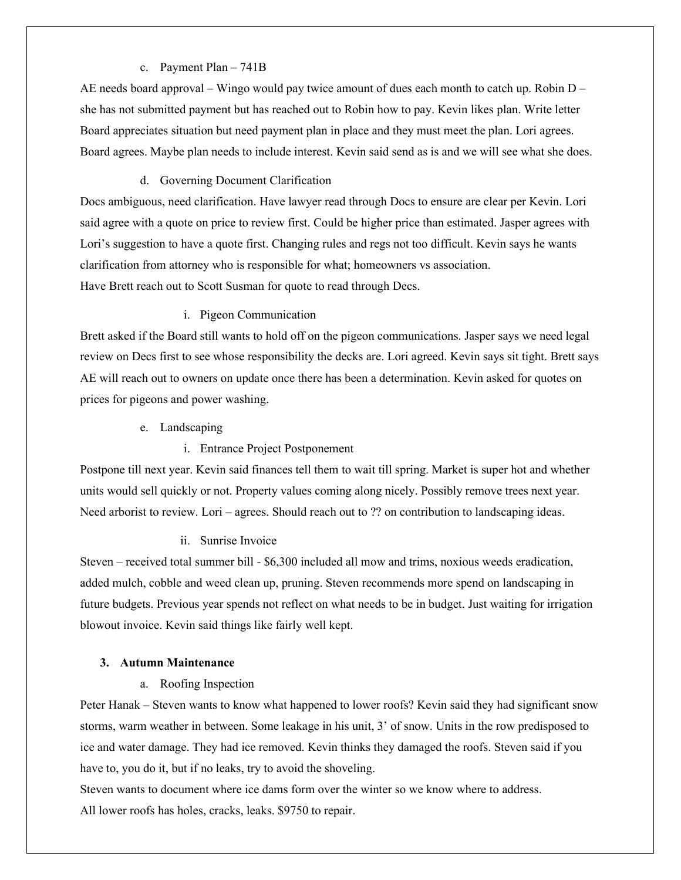#### c. Payment Plan – 741B

AE needs board approval – Wingo would pay twice amount of dues each month to catch up. Robin  $D$ she has not submitted payment but has reached out to Robin how to pay. Kevin likes plan. Write letter Board appreciates situation but need payment plan in place and they must meet the plan. Lori agrees. Board agrees. Maybe plan needs to include interest. Kevin said send as is and we will see what she does.

#### d. Governing Document Clarification

Docs ambiguous, need clarification. Have lawyer read through Docs to ensure are clear per Kevin. Lori said agree with a quote on price to review first. Could be higher price than estimated. Jasper agrees with Lori's suggestion to have a quote first. Changing rules and regs not too difficult. Kevin says he wants clarification from attorney who is responsible for what; homeowners vs association. Have Brett reach out to Scott Susman for quote to read through Decs.

#### i. Pigeon Communication

Brett asked if the Board still wants to hold off on the pigeon communications. Jasper says we need legal review on Decs first to see whose responsibility the decks are. Lori agreed. Kevin says sit tight. Brett says AE will reach out to owners on update once there has been a determination. Kevin asked for quotes on prices for pigeons and power washing.

- e. Landscaping
	- i. Entrance Project Postponement

Postpone till next year. Kevin said finances tell them to wait till spring. Market is super hot and whether units would sell quickly or not. Property values coming along nicely. Possibly remove trees next year. Need arborist to review. Lori – agrees. Should reach out to ?? on contribution to landscaping ideas.

#### ii. Sunrise Invoice

Steven – received total summer bill - \$6,300 included all mow and trims, noxious weeds eradication, added mulch, cobble and weed clean up, pruning. Steven recommends more spend on landscaping in future budgets. Previous year spends not reflect on what needs to be in budget. Just waiting for irrigation blowout invoice. Kevin said things like fairly well kept.

#### **3. Autumn Maintenance**

a. Roofing Inspection

Peter Hanak – Steven wants to know what happened to lower roofs? Kevin said they had significant snow storms, warm weather in between. Some leakage in his unit, 3' of snow. Units in the row predisposed to ice and water damage. They had ice removed. Kevin thinks they damaged the roofs. Steven said if you have to, you do it, but if no leaks, try to avoid the shoveling.

Steven wants to document where ice dams form over the winter so we know where to address. All lower roofs has holes, cracks, leaks. \$9750 to repair.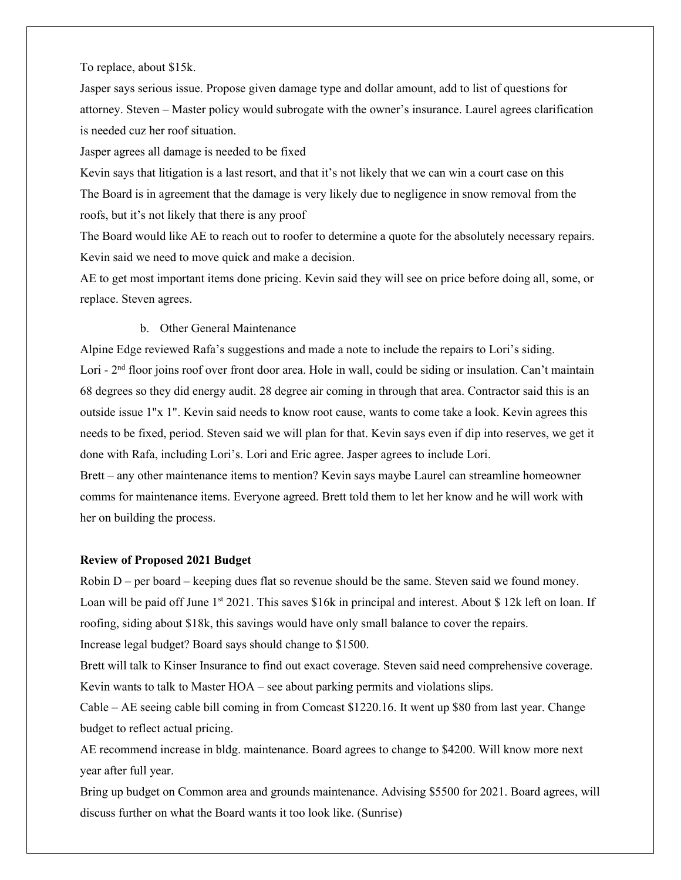To replace, about \$15k.

Jasper says serious issue. Propose given damage type and dollar amount, add to list of questions for attorney. Steven – Master policy would subrogate with the owner's insurance. Laurel agrees clarification is needed cuz her roof situation.

Jasper agrees all damage is needed to be fixed

Kevin says that litigation is a last resort, and that it's not likely that we can win a court case on this The Board is in agreement that the damage is very likely due to negligence in snow removal from the roofs, but it's not likely that there is any proof

The Board would like AE to reach out to roofer to determine a quote for the absolutely necessary repairs. Kevin said we need to move quick and make a decision.

AE to get most important items done pricing. Kevin said they will see on price before doing all, some, or replace. Steven agrees.

#### b. Other General Maintenance

Alpine Edge reviewed Rafa's suggestions and made a note to include the repairs to Lori's siding. Lori - 2<sup>nd</sup> floor joins roof over front door area. Hole in wall, could be siding or insulation. Can't maintain 68 degrees so they did energy audit. 28 degree air coming in through that area. Contractor said this is an outside issue 1"x 1". Kevin said needs to know root cause, wants to come take a look. Kevin agrees this needs to be fixed, period. Steven said we will plan for that. Kevin says even if dip into reserves, we get it done with Rafa, including Lori's. Lori and Eric agree. Jasper agrees to include Lori.

Brett – any other maintenance items to mention? Kevin says maybe Laurel can streamline homeowner comms for maintenance items. Everyone agreed. Brett told them to let her know and he will work with her on building the process.

#### **Review of Proposed 2021 Budget**

Robin D – per board – keeping dues flat so revenue should be the same. Steven said we found money. Loan will be paid off June  $1<sup>st</sup> 2021$ . This saves \$16k in principal and interest. About \$12k left on loan. If roofing, siding about \$18k, this savings would have only small balance to cover the repairs. Increase legal budget? Board says should change to \$1500.

Brett will talk to Kinser Insurance to find out exact coverage. Steven said need comprehensive coverage. Kevin wants to talk to Master HOA – see about parking permits and violations slips.

Cable – AE seeing cable bill coming in from Comcast \$1220.16. It went up \$80 from last year. Change budget to reflect actual pricing.

AE recommend increase in bldg. maintenance. Board agrees to change to \$4200. Will know more next year after full year.

Bring up budget on Common area and grounds maintenance. Advising \$5500 for 2021. Board agrees, will discuss further on what the Board wants it too look like. (Sunrise)